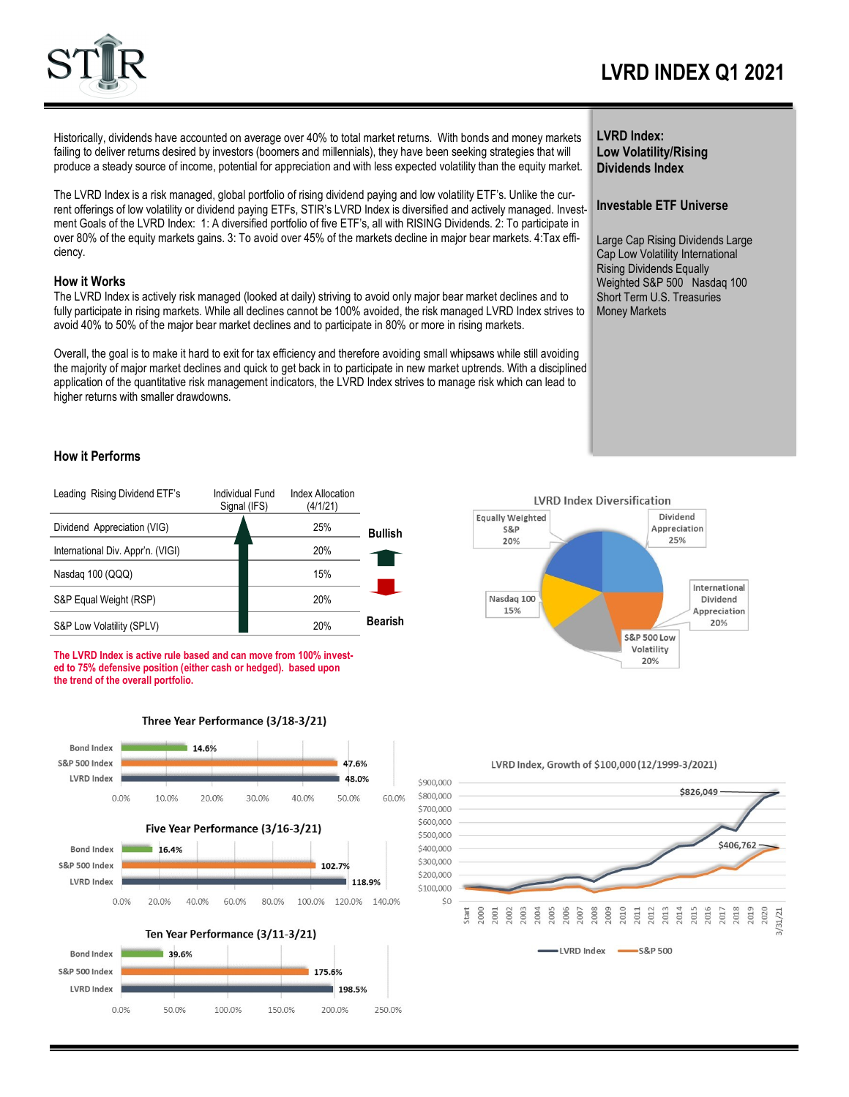

# **LVRD INDEX Q1 2021**

Historically, dividends have accounted on average over 40% to total market returns. With bonds and money markets failing to deliver returns desired by investors (boomers and millennials), they have been seeking strategies that will produce a steady source of income, potential for appreciation and with less expected volatility than the equity market.

The LVRD Index is a risk managed, global portfolio of rising dividend paying and low volatility ETF's. Unlike the current offerings of low volatility or dividend paying ETFs, STIR's LVRD Index is diversified and actively managed. Investment Goals of the LVRD Index: 1: A diversified portfolio of five ETF's, all with RISING Dividends. 2: To participate in over 80% of the equity markets gains. 3: To avoid over 45% of the markets decline in major bear markets. 4:Tax efficiency.

#### **How it Works**

The LVRD Index is actively risk managed (looked at daily) striving to avoid only major bear market declines and to fully participate in rising markets. While all declines cannot be 100% avoided, the risk managed LVRD Index strives to avoid 40% to 50% of the major bear market declines and to participate in 80% or more in rising markets.

Overall, the goal is to make it hard to exit for tax efficiency and therefore avoiding small whipsaws while still avoiding the majority of major market declines and quick to get back in to participate in new market uptrends. With a disciplined application of the quantitative risk management indicators, the LVRD Index strives to manage risk which can lead to higher returns with smaller drawdowns.

#### **LVRD Index: Low Volatility/Rising Dividends Index**

### **Investable ETF Universe**

Large Cap Rising Dividends Large Cap Low Volatility International Rising Dividends Equally Weighted S&P 500 Nasdaq 100 Short Term U.S. Treasuries Money Markets



| Leading Rising Dividend ETF's     | Individual Fund<br>Signal (IFS) | <b>Index Allocation</b><br>(4/1/21) |                |
|-----------------------------------|---------------------------------|-------------------------------------|----------------|
| Dividend Appreciation (VIG)       |                                 | 25%                                 | <b>Bullish</b> |
| International Div. Appr'n. (VIGI) |                                 | 20%                                 |                |
| Nasdag 100 (QQQ)                  |                                 | 15%                                 |                |
| S&P Equal Weight (RSP)            |                                 | 20%                                 |                |
| S&P Low Volatility (SPLV)         |                                 | 20%                                 | <b>Bearish</b> |

**The LVRD Index is active rule based and can move from 100% invested to 75% defensive position (either cash or hedged). based upon the trend of the overall portfolio.**



Three Year Performance (3/18-3/21)



\$900,000 \$826,049 \$800,000 \$700,000 \$600,000 \$500,000  $$406,762 \cdot$ \$400,000 \$300,000 \$200,000 \$100,000  $SO$  $.011$ 1007 1008 ,009 ,010 2012 2013 2014 2015 2019  $.000$ 2001<br>2002  $2003$  $.004$ <sup>2005</sup> 1006 2016 2017 2018  $131/21$ start LVRD Index  $-$ S&P 500

LVRD Index, Growth of \$100,000 (12/1999-3/2021)